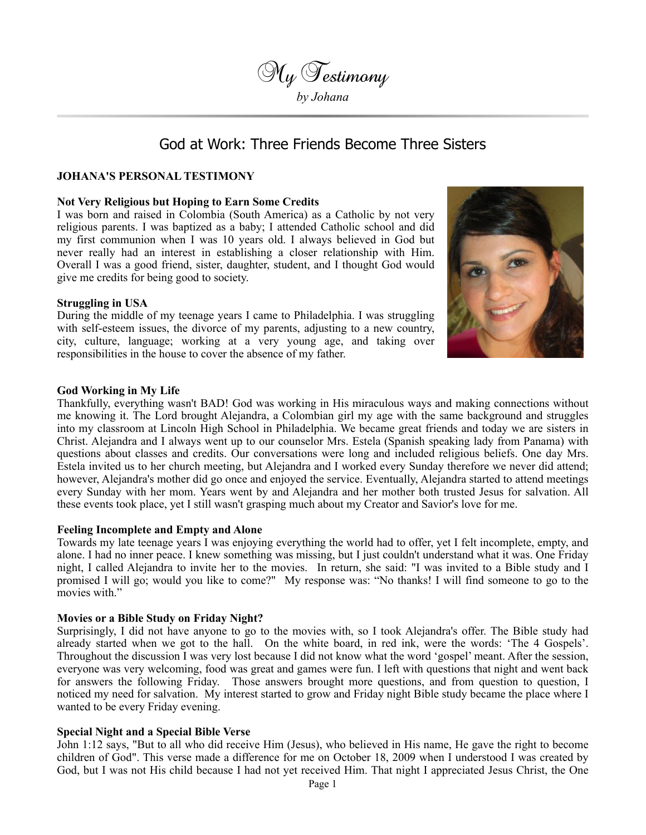

# God at Work: Three Friends Become Three Sisters

# **JOHANA'S PERSONAL TESTIMONY**

### **Not Very Religious but Hoping to Earn Some Credits**

I was born and raised in Colombia (South America) as a Catholic by not very religious parents. I was baptized as a baby; I attended Catholic school and did my first communion when I was 10 years old. I always believed in God but never really had an interest in establishing a closer relationship with Him. Overall I was a good friend, sister, daughter, student, and I thought God would give me credits for being good to society.

## **Struggling in USA**

During the middle of my teenage years I came to Philadelphia. I was struggling with self-esteem issues, the divorce of my parents, adjusting to a new country, city, culture, language; working at a very young age, and taking over responsibilities in the house to cover the absence of my father.



#### **God Working in My Life**

Thankfully, everything wasn't BAD! God was working in His miraculous ways and making connections without me knowing it. The Lord brought Alejandra, a Colombian girl my age with the same background and struggles into my classroom at Lincoln High School in Philadelphia. We became great friends and today we are sisters in Christ. Alejandra and I always went up to our counselor Mrs. Estela (Spanish speaking lady from Panama) with questions about classes and credits. Our conversations were long and included religious beliefs. One day Mrs. Estela invited us to her church meeting, but Alejandra and I worked every Sunday therefore we never did attend; however, Alejandra's mother did go once and enjoyed the service. Eventually, Alejandra started to attend meetings every Sunday with her mom. Years went by and Alejandra and her mother both trusted Jesus for salvation. All these events took place, yet I still wasn't grasping much about my Creator and Savior's love for me.

#### **Feeling Incomplete and Empty and Alone**

Towards my late teenage years I was enjoying everything the world had to offer, yet I felt incomplete, empty, and alone. I had no inner peace. I knew something was missing, but I just couldn't understand what it was. One Friday night, I called Alejandra to invite her to the movies. In return, she said: "I was invited to a Bible study and I promised I will go; would you like to come?" My response was: "No thanks! I will find someone to go to the movies with."

#### **Movies or a Bible Study on Friday Night?**

Surprisingly, I did not have anyone to go to the movies with, so I took Alejandra's offer. The Bible study had already started when we got to the hall. On the white board, in red ink, were the words: 'The 4 Gospels'. Throughout the discussion I was very lost because I did not know what the word 'gospel' meant. After the session, everyone was very welcoming, food was great and games were fun. I left with questions that night and went back for answers the following Friday. Those answers brought more questions, and from question to question, I noticed my need for salvation. My interest started to grow and Friday night Bible study became the place where I wanted to be every Friday evening.

#### **Special Night and a Special Bible Verse**

John 1:12 says, "But to all who did receive Him (Jesus), who believed in His name, He gave the right to become children of God". This verse made a difference for me on October 18, 2009 when I understood I was created by God, but I was not His child because I had not yet received Him. That night I appreciated Jesus Christ, the One